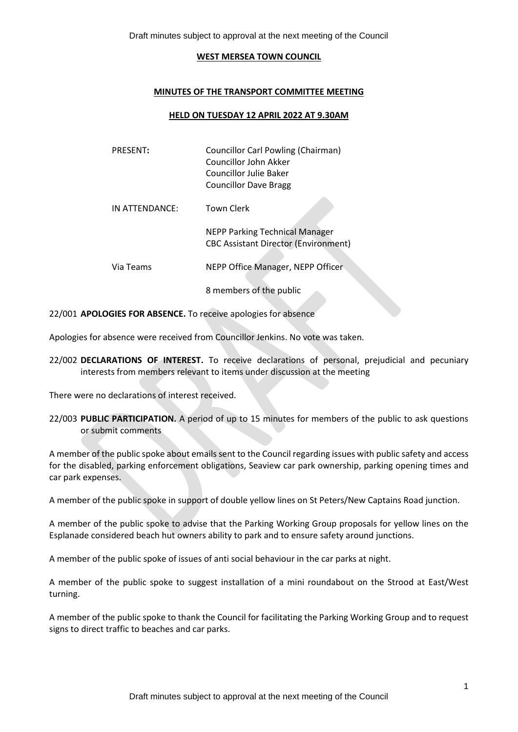Draft minutes subject to approval at the next meeting of the Council

#### **WEST MERSEA TOWN COUNCIL**

#### **MINUTES OF THE TRANSPORT COMMITTEE MEETING**

#### **HELD ON TUESDAY 12 APRIL 2022 AT 9.30AM**

| <b>PRESENT:</b> | Councillor Carl Powling (Chairman)<br>Councillor John Akker<br>Councillor Julie Baker<br><b>Councillor Dave Bragg</b> |
|-----------------|-----------------------------------------------------------------------------------------------------------------------|
| IN ATTENDANCE:  | Town Clerk                                                                                                            |
|                 | <b>NEPP Parking Technical Manager</b><br><b>CBC Assistant Director (Environment)</b>                                  |
| Via Teams       | NEPP Office Manager, NEPP Officer                                                                                     |
|                 | 8 members of the public                                                                                               |

22/001 **APOLOGIES FOR ABSENCE.** To receive apologies for absence

Apologies for absence were received from Councillor Jenkins. No vote was taken.

22/002 **DECLARATIONS OF INTEREST.** To receive declarations of personal, prejudicial and pecuniary interests from members relevant to items under discussion at the meeting

There were no declarations of interest received.

22/003 **PUBLIC PARTICIPATION.** A period of up to 15 minutes for members of the public to ask questions or submit comments

A member of the public spoke about emails sent to the Council regarding issues with public safety and access for the disabled, parking enforcement obligations, Seaview car park ownership, parking opening times and car park expenses.

A member of the public spoke in support of double yellow lines on St Peters/New Captains Road junction.

A member of the public spoke to advise that the Parking Working Group proposals for yellow lines on the Esplanade considered beach hut owners ability to park and to ensure safety around junctions.

A member of the public spoke of issues of anti social behaviour in the car parks at night.

A member of the public spoke to suggest installation of a mini roundabout on the Strood at East/West turning.

A member of the public spoke to thank the Council for facilitating the Parking Working Group and to request signs to direct traffic to beaches and car parks.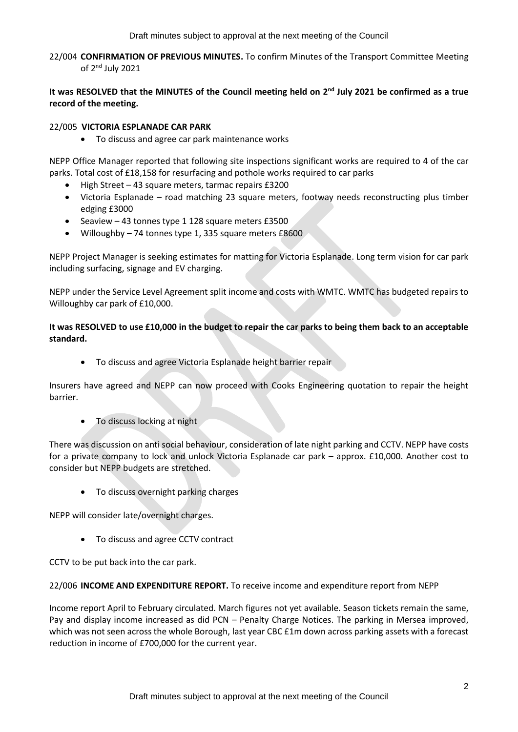22/004 **CONFIRMATION OF PREVIOUS MINUTES.** To confirm Minutes of the Transport Committee Meeting of 2<sup>nd</sup> July 2021

# It was RESOLVED that the MINUTES of the Council meeting held on 2<sup>nd</sup> July 2021 be confirmed as a true **record of the meeting.**

## 22/005 **VICTORIA ESPLANADE CAR PARK**

• To discuss and agree car park maintenance works

NEPP Office Manager reported that following site inspections significant works are required to 4 of the car parks. Total cost of £18,158 for resurfacing and pothole works required to car parks

- High Street 43 square meters, tarmac repairs £3200
- Victoria Esplanade road matching 23 square meters, footway needs reconstructing plus timber edging £3000
- Seaview 43 tonnes type 1 128 square meters £3500
- Willoughby 74 tonnes type 1, 335 square meters £8600

NEPP Project Manager is seeking estimates for matting for Victoria Esplanade. Long term vision for car park including surfacing, signage and EV charging.

NEPP under the Service Level Agreement split income and costs with WMTC. WMTC has budgeted repairs to Willoughby car park of £10,000.

## **It was RESOLVED to use £10,000 in the budget to repair the car parks to being them back to an acceptable standard.**

• To discuss and agree Victoria Esplanade height barrier repair

Insurers have agreed and NEPP can now proceed with Cooks Engineering quotation to repair the height barrier.

• To discuss locking at night

There was discussion on anti social behaviour, consideration of late night parking and CCTV. NEPP have costs for a private company to lock and unlock Victoria Esplanade car park – approx. £10,000. Another cost to consider but NEPP budgets are stretched.

• To discuss overnight parking charges

NEPP will consider late/overnight charges.

• To discuss and agree CCTV contract

CCTV to be put back into the car park.

#### 22/006 **INCOME AND EXPENDITURE REPORT.** To receive income and expenditure report from NEPP

Income report April to February circulated. March figures not yet available. Season tickets remain the same, Pay and display income increased as did PCN – Penalty Charge Notices. The parking in Mersea improved, which was not seen across the whole Borough, last year CBC £1m down across parking assets with a forecast reduction in income of £700,000 for the current year.